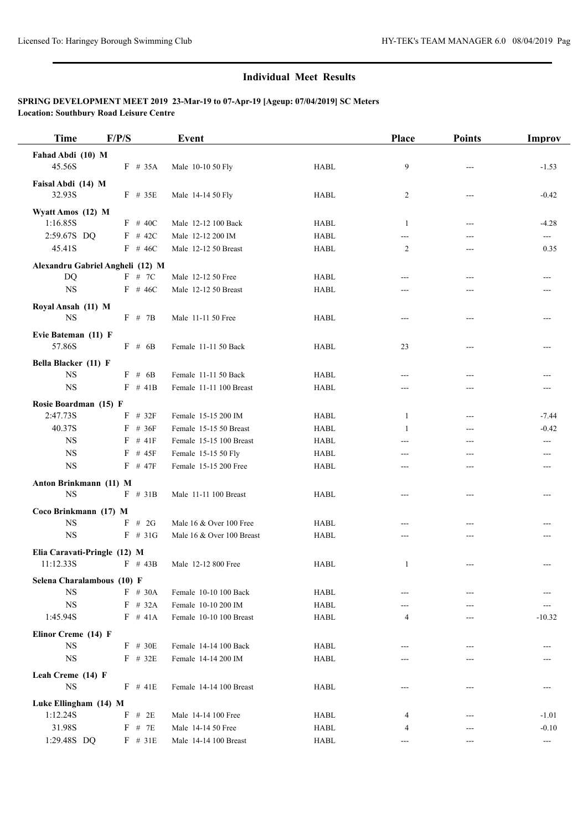| <b>Time</b>                        | F/P/S |           | Event                     |             | Place        | <b>Points</b>            | Improv   |
|------------------------------------|-------|-----------|---------------------------|-------------|--------------|--------------------------|----------|
| Fahad Abdi (10) M                  |       |           |                           |             |              |                          |          |
| 45.56S                             |       | $F$ # 35A | Male 10-10 50 Fly         | <b>HABL</b> | 9            | ---                      | $-1.53$  |
| Faisal Abdi (14) M                 |       |           |                           |             |              |                          |          |
| 32.93S                             |       | $F$ # 35E | Male 14-14 50 Fly         | <b>HABL</b> | 2            | $---$                    | $-0.42$  |
| Wyatt Amos (12) M                  |       |           |                           |             |              |                          |          |
| 1:16.85S                           |       | $F$ # 40C | Male 12-12 100 Back       | <b>HABL</b> | 1            | $---$                    | $-4.28$  |
| 2:59.67S DQ                        |       | $F$ # 42C | Male 12-12 200 IM         | <b>HABL</b> | ---          | ---                      | $---$    |
| 45.41S                             |       | $F$ # 46C | Male 12-12 50 Breast      | <b>HABL</b> | 2            | ---                      | 0.35     |
| Alexandru Gabriel Angheli (12) M   |       |           |                           |             |              |                          |          |
| DQ                                 |       | $F$ # 7C  | Male 12-12 50 Free        | <b>HABL</b> | ---          | ---                      | ---      |
| $_{\rm NS}$                        |       | $F$ # 46C | Male 12-12 50 Breast      | <b>HABL</b> | ---          | ---                      |          |
| Royal Ansah (11) M                 |       |           |                           |             |              |                          |          |
| <b>NS</b>                          |       | F # 7B    | Male 11-11 50 Free        | <b>HABL</b> | $---$        | $---$                    |          |
| Evie Bateman (11) F                |       |           |                           |             |              |                          |          |
| 57.86S                             |       | F # 6B    | Female 11-11 50 Back      | <b>HABL</b> | 23           |                          |          |
| Bella Blacker (11) F               |       |           |                           |             |              |                          |          |
| <b>NS</b>                          |       | $F$ # 6B  | Female 11-11 50 Back      | <b>HABL</b> | ---          | ---                      |          |
| <b>NS</b>                          |       | $F$ # 41B | Female 11-11 100 Breast   | <b>HABL</b> | ---          |                          |          |
|                                    |       |           |                           |             |              |                          |          |
| Rosie Boardman (15) F<br>2:47.73S  |       | $F$ # 32F | Female 15-15 200 IM       | <b>HABL</b> | $\mathbf{1}$ | ---                      | $-7.44$  |
| 40.37S                             | F     | #36F      | Female 15-15 50 Breast    | <b>HABL</b> | $\mathbf{1}$ | $\overline{\phantom{a}}$ | $-0.42$  |
| <b>NS</b>                          | F     | #41F      | Female 15-15 100 Breast   | <b>HABL</b> | ---          | ---                      | ---      |
| <b>NS</b>                          |       | $F$ # 45F | Female 15-15 50 Fly       | <b>HABL</b> | ---          | ---                      |          |
| <b>NS</b>                          |       | $F$ # 47F | Female 15-15 200 Free     | <b>HABL</b> | ---          | ---                      |          |
| Anton Brinkmann (11) M             |       |           |                           |             |              |                          |          |
| <b>NS</b>                          |       | $F$ # 31B | Male 11-11 100 Breast     | <b>HABL</b> | ---          | $---$                    |          |
|                                    |       |           |                           |             |              |                          |          |
| Coco Brinkmann (17) M<br><b>NS</b> | F     | #2G       | Male 16 & Over 100 Free   | <b>HABL</b> | ---          |                          |          |
| <b>NS</b>                          |       | $F$ # 31G | Male 16 & Over 100 Breast | <b>HABL</b> | ---          | ---                      |          |
|                                    |       |           |                           |             |              |                          |          |
| Elia Caravati-Pringle (12) M       |       |           |                           |             |              |                          |          |
| 11:12.33S                          |       | $F$ # 43B | Male 12-12 800 Free       | <b>HABL</b> | 1            | ---                      |          |
| Selena Charalambous (10) F         |       |           |                           |             |              |                          |          |
| <b>NS</b>                          |       | F # 30A   | Female 10-10 100 Back     | <b>HABL</b> |              |                          |          |
| <b>NS</b>                          |       | $F$ # 32A | Female 10-10 200 IM       | <b>HABL</b> |              |                          |          |
| 1:45.94S                           |       | $F$ # 41A | Female 10-10 100 Breast   | <b>HABL</b> | 4            |                          | $-10.32$ |
| Elinor Creme (14) F                |       |           |                           |             |              |                          |          |
| <b>NS</b>                          |       | $F$ # 30E | Female 14-14 100 Back     | <b>HABL</b> |              |                          |          |
| $_{\rm NS}$                        |       | $F$ # 32E | Female 14-14 200 IM       | <b>HABL</b> | ---          |                          |          |
| Leah Creme (14) F                  |       |           |                           |             |              |                          |          |
| <b>NS</b>                          |       | $F$ # 41E | Female 14-14 100 Breast   | <b>HABL</b> | $---$        | $---$                    | ---      |
| Luke Ellingham (14) M              |       |           |                           |             |              |                          |          |
| 1:12.24S                           |       | $F$ # 2E  | Male 14-14 100 Free       | HABL        | 4            |                          | $-1.01$  |
| 31.98S                             |       | $F$ # 7E  | Male 14-14 50 Free        | <b>HABL</b> | 4            | ---                      | $-0.10$  |
| 1:29.48S DQ                        |       | $F$ # 31E | Male 14-14 100 Breast     | HABL        | ---          | ---                      | ---      |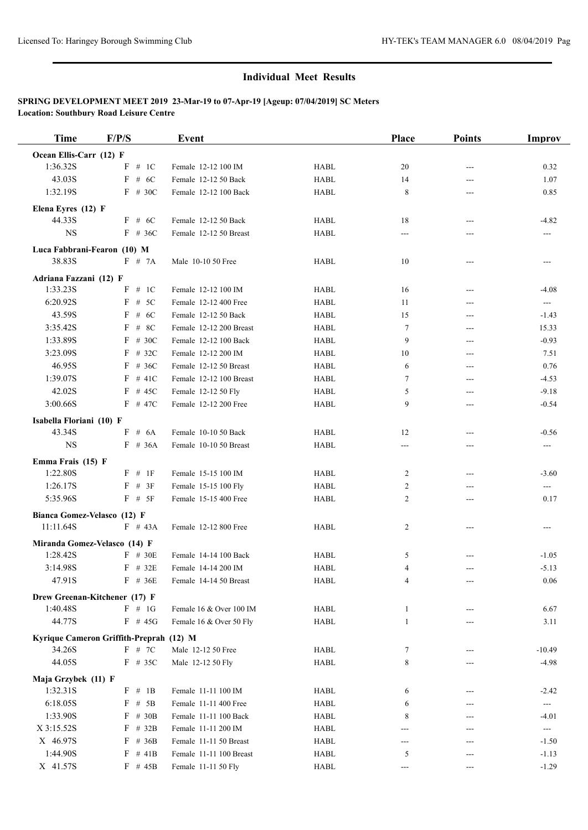| <b>Time</b>                     | F/P/S                                   | Event                   |             | Place          | <b>Points</b> | <b>Improv</b>  |
|---------------------------------|-----------------------------------------|-------------------------|-------------|----------------|---------------|----------------|
| Ocean Ellis-Carr (12) F         |                                         |                         |             |                |               |                |
| 1:36.32S                        | F # 1C                                  | Female 12-12 100 IM     | <b>HABL</b> | 20             | ---           | 0.32           |
| 43.03S                          | $F$ # 6C                                | Female 12-12 50 Back    | <b>HABL</b> | 14             | ---           | 1.07           |
| 1:32.19S                        | $F$ # 30C                               | Female 12-12 100 Back   | <b>HABL</b> | 8              | ---           | 0.85           |
|                                 |                                         |                         |             |                |               |                |
| Elena Eyres (12) F<br>44.33S    | $F$ # 6C                                | Female 12-12 50 Back    | <b>HABL</b> | 18             | ---           | $-4.82$        |
| <b>NS</b>                       | $F$ # 36C                               | Female 12-12 50 Breast  | <b>HABL</b> | $---$          | ---           |                |
|                                 |                                         |                         |             |                |               |                |
| Luca Fabbrani-Fearon (10) M     |                                         |                         |             |                |               |                |
| 38.83S                          | F # 7A                                  | Male 10-10 50 Free      | <b>HABL</b> | 10             | ---           | ---            |
| Adriana Fazzani (12) F          |                                         |                         |             |                |               |                |
| 1:33.23S                        | # 1C<br>F                               | Female 12-12 100 IM     | <b>HABL</b> | 16             | ---           | $-4.08$        |
| 6:20.92S                        | F<br># $5C$                             | Female 12-12 400 Free   | <b>HABL</b> | 11             | ---           | ---            |
| 43.59S                          | # $6C$<br>F                             | Female 12-12 50 Back    | <b>HABL</b> | 15             | ---           | $-1.43$        |
| 3:35.42S                        | # $8C$<br>F                             | Female 12-12 200 Breast | <b>HABL</b> | $\tau$         | ---           | 15.33          |
| 1:33.89S                        | $F \# 30C$                              | Female 12-12 100 Back   | <b>HABL</b> | 9              | ---           | $-0.93$        |
| 3:23.09S                        | F<br># 32 $C$                           | Female 12-12 200 IM     | <b>HABL</b> | 10             | ---           | 7.51           |
| 46.95S                          | $F$ # 36C                               | Female 12-12 50 Breast  | <b>HABL</b> | 6              | ---           | 0.76           |
| 1:39.07S                        | $F$ # 41C                               | Female 12-12 100 Breast | <b>HABL</b> | $\tau$         | ---           | $-4.53$        |
| 42.02S                          | $F$ # 45C                               | Female 12-12 50 Fly     | <b>HABL</b> | 5              | ---           | $-9.18$        |
| 3:00.66S                        | $F$ # 47C                               | Female 12-12 200 Free   | <b>HABL</b> | 9              | ---           | $-0.54$        |
| Isabella Floriani (10) F        |                                         |                         |             |                |               |                |
| 43.34S                          | # 6A<br>F                               | Female 10-10 50 Back    | <b>HABL</b> | 12             | ---           | $-0.56$        |
| <b>NS</b>                       | $F$ # 36A                               | Female 10-10 50 Breast  | <b>HABL</b> | ---            | ---           | ---            |
| Emma Frais (15) F               |                                         |                         |             |                |               |                |
| 1:22.80S                        | $F$ # 1F                                | Female 15-15 100 IM     | <b>HABL</b> | $\overline{c}$ | ---           | $-3.60$        |
| 1:26.17S                        | # 3F<br>F                               | Female 15-15 100 Fly    | <b>HABL</b> | 2              | ---           | ---            |
| 5:35.96S                        | $F$ # 5F                                | Female 15-15 400 Free   | <b>HABL</b> | $\overline{c}$ | ---           | 0.17           |
|                                 |                                         |                         |             |                |               |                |
| Bianca Gomez-Velasco (12) F     |                                         |                         |             |                |               |                |
| 11:11.64S                       | $F$ # 43A                               | Female 12-12 800 Free   | <b>HABL</b> | 2              | $---$         | $---$          |
|                                 | Miranda Gomez-Velasco (14) F            |                         |             |                |               |                |
| 1:28.42S                        | $F$ # 30E                               | Female 14-14 100 Back   | <b>HABL</b> | 5              |               | $-1.05$        |
| 3:14.98S                        | $F$ # 32E                               | Female 14-14 200 IM     | <b>HABL</b> | 4              | ---           | $-5.13$        |
| 47.91S                          | $F$ # 36E                               | Female 14-14 50 Breast  | HABL        | 4              |               | 0.06           |
|                                 | Drew Greenan-Kitchener (17) F           |                         |             |                |               |                |
| 1:40.48S                        | $F \# 1G$                               | Female 16 & Over 100 IM | HABL        | $\mathbf{1}$   |               | 6.67           |
| 44.77S                          | $F$ # 45G                               | Female 16 & Over 50 Fly | <b>HABL</b> | $\mathbf{1}$   | ---           | 3.11           |
|                                 | Kyrique Cameron Griffith-Preprah (12) M |                         |             |                |               |                |
| 34.26S                          | $F$ # 7C                                | Male 12-12 50 Free      | <b>HABL</b> | 7              |               | $-10.49$       |
| 44.05S                          | $F$ # 35C                               | Male 12-12 50 Fly       | <b>HABL</b> | 8              |               | $-4.98$        |
|                                 |                                         |                         |             |                |               |                |
| Maja Grzybek (11) F<br>1:32.31S | F # 1B                                  | Female 11-11 100 IM     | <b>HABL</b> | 6              |               | $-2.42$        |
| 6:18.05S                        | $F$ # 5B                                | Female 11-11 400 Free   | HABL        | 6              | ---           |                |
| 1:33.90S                        | $F$ # 30B                               | Female 11-11 100 Back   | <b>HABL</b> | 8              |               | ---<br>$-4.01$ |
| X 3:15.52S                      | $F$ # 32B                               | Female 11-11 200 IM     | HABL        | ---            | ---<br>---    | $\sim$         |
| X 46.97S                        | $F$ # 36B                               | Female 11-11 50 Breast  | HABL        |                |               | $-1.50$        |
| 1:44.90S                        | $F$ # 41B                               | Female 11-11 100 Breast |             | ---            |               |                |
|                                 |                                         |                         | HABL        | 5              | ---           | $-1.13$        |
| X 41.57S                        | $F$ # 45B                               | Female 11-11 50 Fly     | <b>HABL</b> | ---            | ---           | $-1.29$        |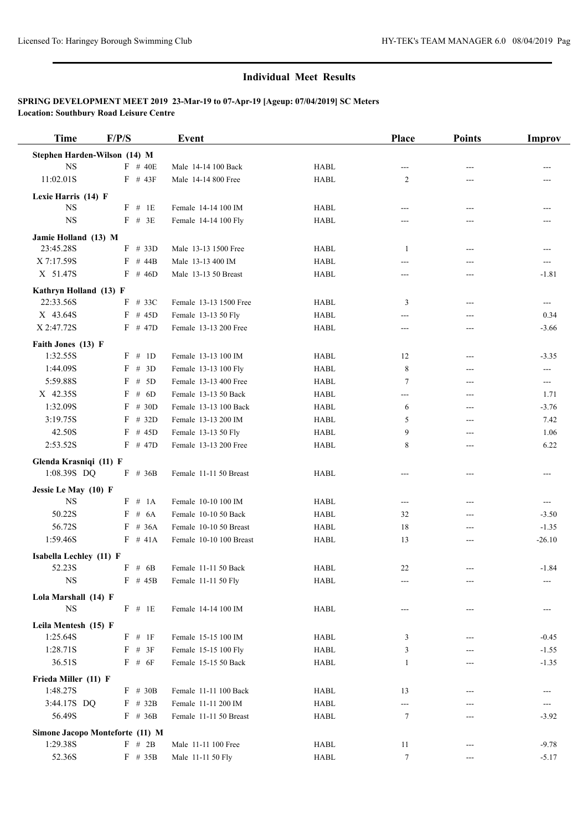| <b>Time</b>                       | F/P/S               | Event                                       |                                | Place                      | <b>Points</b>              | Improv             |
|-----------------------------------|---------------------|---------------------------------------------|--------------------------------|----------------------------|----------------------------|--------------------|
| Stephen Harden-Wilson (14) M      |                     |                                             |                                |                            |                            |                    |
| <b>NS</b>                         | $F$ # 40E           | Male 14-14 100 Back                         | <b>HABL</b>                    | $---$                      | ---                        |                    |
| 11:02.01S                         | $F$ # 43F           | Male 14-14 800 Free                         | <b>HABL</b>                    | 2                          | ---                        |                    |
|                                   |                     |                                             |                                |                            |                            |                    |
| Lexie Harris (14) F<br><b>NS</b>  | $#$ 1E<br>F         | Female 14-14 100 IM                         | <b>HABL</b>                    | ---                        | $---$                      |                    |
| <b>NS</b>                         | $F$ # 3E            | Female 14-14 100 Fly                        | <b>HABL</b>                    | ---                        | ---                        |                    |
|                                   |                     |                                             |                                |                            |                            |                    |
| Jamie Holland (13) M              |                     |                                             |                                |                            |                            |                    |
| 23:45.28S                         | F<br># 33D          | Male 13-13 1500 Free                        | <b>HABL</b>                    | 1                          | ---                        | ---                |
| X 7:17.59S                        | $F$ # 44B           | Male 13-13 400 IM                           | <b>HABL</b>                    | ---                        | ---                        | ---                |
| X 51.47S                          | $F$ # 46D           | Male 13-13 50 Breast                        | <b>HABL</b>                    | ---                        | ---                        | $-1.81$            |
| Kathryn Holland (13) F            |                     |                                             |                                |                            |                            |                    |
| 22:33.56S                         | F<br># 33C          | Female 13-13 1500 Free                      | <b>HABL</b>                    | 3                          | $---$                      | ---                |
| X 43.64S                          | $F$ # 45D           | Female 13-13 50 Fly                         | <b>HABL</b>                    | ---                        | ---                        | 0.34               |
| X 2:47.72S                        | $F$ # 47D           | Female 13-13 200 Free                       | <b>HABL</b>                    | ---                        | ---                        | $-3.66$            |
| Faith Jones (13) F                |                     |                                             |                                |                            |                            |                    |
| 1:32.55S                          | F # 1D              | Female 13-13 100 IM                         | <b>HABL</b>                    | 12                         | $---$                      | $-3.35$            |
| 1:44.09S                          | F<br># $3D$         | Female 13-13 100 Fly                        | <b>HABL</b>                    | 8                          | ---                        | ---                |
| 5:59.88S                          | # $5D$<br>F         | Female 13-13 400 Free                       | <b>HABL</b>                    | $\tau$                     | ---                        | ---                |
| X 42.35S                          | F<br># $6D$         | Female 13-13 50 Back                        | <b>HABL</b>                    | $---$                      | ---                        | 1.71               |
| 1:32.09S                          | $F \# 30D$          | Female 13-13 100 Back                       | <b>HABL</b>                    | 6                          | ---                        | $-3.76$            |
| 3:19.75S                          | F<br># 32D          | Female 13-13 200 IM                         | <b>HABL</b>                    | 5                          | $---$                      | 7.42               |
| 42.50S                            | # 45D<br>F          | Female 13-13 50 Fly                         | <b>HABL</b>                    | 9                          | ---                        | 1.06               |
| 2:53.52S                          | $F$ # 47D           | Female 13-13 200 Free                       | <b>HABL</b>                    | 8                          | ---                        | 6.22               |
| Glenda Krasniqi (11) F            |                     |                                             |                                |                            |                            |                    |
| 1:08.39S DQ                       | $F$ # 36B           | Female 11-11 50 Breast                      | <b>HABL</b>                    | ---                        | ---                        | ---                |
|                                   |                     |                                             |                                |                            |                            |                    |
| Jessie Le May (10) F<br><b>NS</b> |                     |                                             |                                |                            |                            |                    |
| 50.22S                            | F # 1A<br>F<br># 6A | Female 10-10 100 IM<br>Female 10-10 50 Back | <b>HABL</b><br><b>HABL</b>     | $\qquad \qquad \text{---}$ | $\qquad \qquad \text{---}$ | ---                |
| 56.72S                            | F<br># 36A          | Female 10-10 50 Breast                      | <b>HABL</b>                    | 32<br>18                   | ---                        | $-3.50$<br>$-1.35$ |
| 1:59.46S                          | $F \# 41A$          | Female 10-10 100 Breast                     | <b>HABL</b>                    |                            | ---                        |                    |
|                                   |                     |                                             |                                | 13                         | ---                        | $-26.10$           |
| Isabella Lechley (11) F           |                     |                                             |                                |                            |                            |                    |
| 52.23S                            | F # 6B              | Female 11-11 50 Back                        | <b>HABL</b>                    | 22                         | ---                        | $-1.84$            |
| $_{\rm NS}$                       | $F$ # 45B           | Female 11-11 50 Fly                         | <b>HABL</b>                    | ---                        |                            |                    |
| Lola Marshall (14) F              |                     |                                             |                                |                            |                            |                    |
| $_{\rm NS}$                       | $F$ # 1E            | Female 14-14 100 IM                         | HABL                           | ---                        | ---                        |                    |
| Leila Mentesh (15) F              |                     |                                             |                                |                            |                            |                    |
| 1:25.64S                          | F # 1F              | Female 15-15 100 IM                         | HABL                           | 3                          | ---                        | $-0.45$            |
| 1:28.71S                          | $F$ # 3F            | Female 15-15 100 Fly                        | <b>HABL</b>                    | 3                          |                            | $-1.55$            |
| 36.51S                            | $F \# 6F$           | Female 15-15 50 Back                        | <b>HABL</b>                    | 1                          | ---                        | $-1.35$            |
| Frieda Miller (11) F              |                     |                                             |                                |                            |                            |                    |
| 1:48.27S                          | $F \# 30B$          | Female 11-11 100 Back                       | HABL                           | 13                         |                            |                    |
| 3:44.17S DQ                       | $F$ # 32B           | Female 11-11 200 IM                         | ${\rm H}{\rm A}{\rm B}{\rm L}$ | $---$                      | ---                        | ---                |
| 56.49S                            | $F$ # 36B           | Female 11-11 50 Breast                      | <b>HABL</b>                    | 7                          | ---                        | $-3.92$            |
|                                   |                     |                                             |                                |                            |                            |                    |
| Simone Jacopo Monteforte (11) M   |                     |                                             |                                |                            |                            |                    |
| 1:29.38S                          | F # 2B              | Male 11-11 100 Free                         | HABL                           | 11                         |                            | $-9.78$            |
| 52.36S                            | $F$ # 35B           | Male 11-11 50 Fly                           | HABL                           | 7                          | ---                        | $-5.17$            |